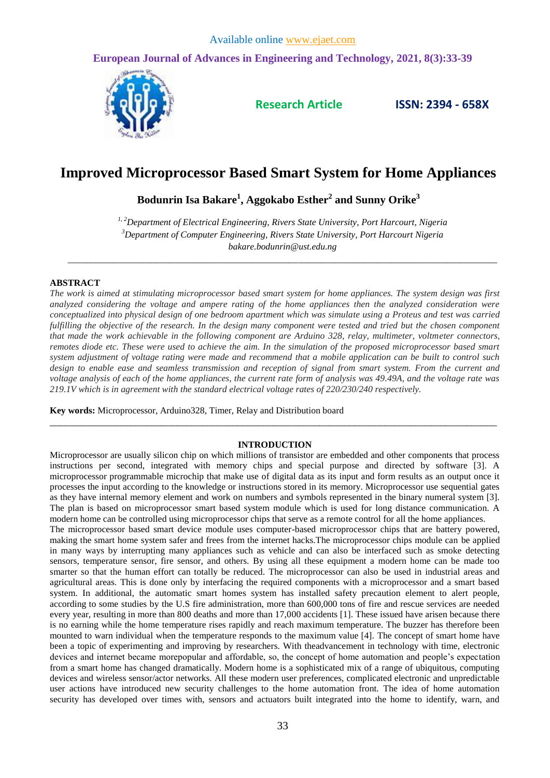**European Journal of Advances in Engineering and Technology, 2021, 8(3):33-39**



**Research Article ISSN: 2394 - 658X**

# **Improved Microprocessor Based Smart System for Home Appliances**

**Bodunrin Isa Bakare<sup>1</sup> , Aggokabo Esther<sup>2</sup> and Sunny Orike<sup>3</sup>**

*1, 2Department of Electrical Engineering, Rivers State University, Port Harcourt, Nigeria <sup>3</sup>Department of Computer Engineering, Rivers State University, Port Harcourt Nigeria bakare.bodunrin@ust.edu.ng*

\_\_\_\_\_\_\_\_\_\_\_\_\_\_\_\_\_\_\_\_\_\_\_\_\_\_\_\_\_\_\_\_\_\_\_\_\_\_\_\_\_\_\_\_\_\_\_\_\_\_\_\_\_\_\_\_\_\_\_\_\_\_\_\_\_\_\_\_\_\_\_\_\_\_\_\_\_\_\_\_\_\_\_\_\_\_\_\_\_\_\_\_\_

## **ABSTRACT**

*The work is aimed at stimulating microprocessor based smart system for home appliances. The system design was first analyzed considering the voltage and ampere rating of the home appliances then the analyzed consideration were conceptualized into physical design of one bedroom apartment which was simulate using a Proteus and test was carried fulfilling the objective of the research. In the design many component were tested and tried but the chosen component that made the work achievable in the following component are Arduino 328, relay, multimeter, voltmeter connectors, remotes diode etc. These were used to achieve the aim. In the simulation of the proposed microprocessor based smart system adjustment of voltage rating were made and recommend that a mobile application can be built to control such design to enable ease and seamless transmission and reception of signal from smart system. From the current and voltage analysis of each of the home appliances, the current rate form of analysis was 49.49A, and the voltage rate was 219.1V which is in agreement with the standard electrical voltage rates of 220/230/240 respectively.*

**Key words:** Microprocessor, Arduino328, Timer, Relay and Distribution board

## **INTRODUCTION**

*\_\_\_\_\_\_\_\_\_\_\_\_\_\_\_\_\_\_\_\_\_\_\_\_\_\_\_\_\_\_\_\_\_\_\_\_\_\_\_\_\_\_\_\_\_\_\_\_\_\_\_\_\_\_\_\_\_\_\_\_\_\_\_\_\_\_\_\_\_\_\_\_\_\_\_\_\_\_\_\_\_\_\_\_\_\_\_\_*

Microprocessor are usually silicon chip on which millions of transistor are embedded and other components that process instructions per second, integrated with memory chips and special purpose and directed by software [3]. A microprocessor programmable microchip that make use of digital data as its input and form results as an output once it processes the input according to the knowledge or instructions stored in its memory. Microprocessor use sequential gates as they have internal memory element and work on numbers and symbols represented in the binary numeral system [3]. The plan is based on microprocessor smart based system module which is used for long distance communication. A modern home can be controlled using microprocessor chips that serve as a remote control for all the home appliances.

The microprocessor based smart device module uses computer-based microprocessor chips that are battery powered, making the smart home system safer and frees from the internet hacks.The microprocessor chips module can be applied in many ways by interrupting many appliances such as vehicle and can also be interfaced such as smoke detecting sensors, temperature sensor, fire sensor, and others. By using all these equipment a modern home can be made too smarter so that the human effort can totally be reduced. The microprocessor can also be used in industrial areas and agricultural areas. This is done only by interfacing the required components with a microprocessor and a smart based system. In additional, the automatic smart homes system has installed safety precaution element to alert people, according to some studies by the U.S fire administration, more than 600,000 tons of fire and rescue services are needed every year, resulting in more than 800 deaths and more than 17,000 accidents [1]. These issued have arisen because there is no earning while the home temperature rises rapidly and reach maximum temperature. The buzzer has therefore been mounted to warn individual when the temperature responds to the maximum value [4]. The concept of smart home have been a topic of experimenting and improving by researchers. With theadvancement in technology with time, electronic devices and internet became morepopular and affordable, so, the concept of home automation and people's expectation from a smart home has changed dramatically. Modern home is a sophisticated mix of a range of ubiquitous, computing devices and wireless sensor/actor networks. All these modern user preferences, complicated electronic and unpredictable user actions have introduced new security challenges to the home automation front. The idea of home automation security has developed over times with, sensors and actuators built integrated into the home to identify, warn, and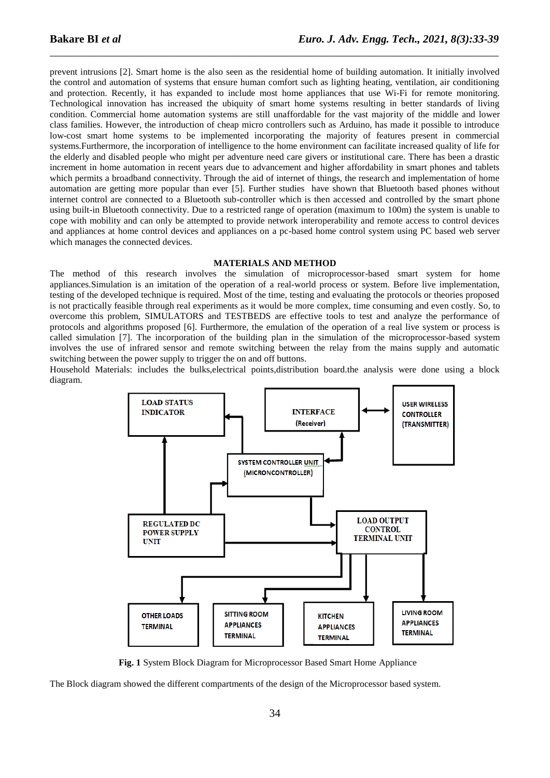prevent intrusions [2]. Smart home is the also seen as the residential home of building automation. It initially involved the control and automation of systems that ensure human comfort such as lighting heating, ventilation, air conditioning and protection. Recently, it has expanded to include most home appliances that use Wi-Fi for remote monitoring. Technological innovation has increased the ubiquity of smart home systems resulting in better standards of living condition. Commercial home automation systems are still unaffordable for the vast majority of the middle and lower class families. However, the introduction of cheap micro controllers such as Arduino, has made it possible to introduce low-cost smart home systems to be implemented incorporating the majority of features present in commercial systems.Furthermore, the incorporation of intelligence to the home environment can facilitate increased quality of life for the elderly and disabled people who might per adventure need care givers or institutional care. There has been a drastic increment in home automation in recent years due to advancement and higher affordability in smart phones and tablets which permits a broadband connectivity. Through the aid of internet of things, the research and implementation of home automation are getting more popular than ever [5]. Further studies have shown that Bluetooth based phones without internet control are connected to a Bluetooth sub-controller which is then accessed and controlled by the smart phone using built-in Bluetooth connectivity. Due to a restricted range of operation (maximum to 100m) the system is unable to cope with mobility and can only be attempted to provide network interoperability and remote access to control devices and appliances at home control devices and appliances on a pc-based home control system using PC based web server which manages the connected devices.

\_\_\_\_\_\_\_\_\_\_\_\_\_\_\_\_\_\_\_\_\_\_\_\_\_\_\_\_\_\_\_\_\_\_\_\_\_\_\_\_\_\_\_\_\_\_\_\_\_\_\_\_\_\_\_\_\_\_\_\_\_\_\_\_\_\_\_\_\_\_\_\_\_\_\_\_\_\_\_\_\_

#### **MATERIALS AND METHOD**

The method of this research involves the simulation of microprocessor-based smart system for home appliances.Simulation is an imitation of the operation of a real-world process or system. Before live implementation, testing of the developed technique is required. Most of the time, testing and evaluating the protocols or theories proposed is not practically feasible through real experiments as it would be more complex, time consuming and even costly. So, to overcome this problem, SIMULATORS and TESTBEDS are effective tools to test and analyze the performance of protocols and algorithms proposed [6]. Furthermore, the emulation of the operation of a real live system or process is called simulation [7]. The incorporation of the building plan in the simulation of the microprocessor-based system involves the use of infrared sensor and remote switching between the relay from the mains supply and automatic switching between the power supply to trigger the on and off buttons.

Household Materials: includes the bulks,electrical points,distribution board.the analysis were done using a block diagram.



**Fig. 1** System Block Diagram for Microprocessor Based Smart Home Appliance

The Block diagram showed the different compartments of the design of the Microprocessor based system.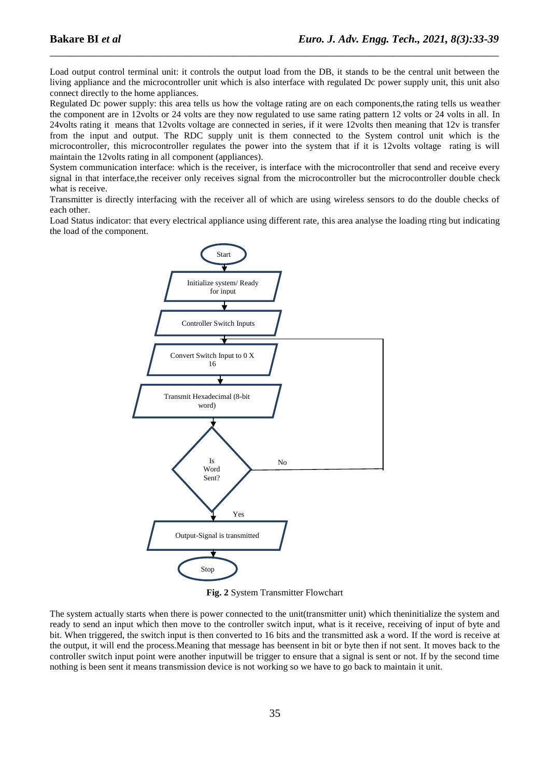Load output control terminal unit: it controls the output load from the DB, it stands to be the central unit between the living appliance and the microcontroller unit which is also interface with regulated Dc power supply unit, this unit also connect directly to the home appliances.

\_\_\_\_\_\_\_\_\_\_\_\_\_\_\_\_\_\_\_\_\_\_\_\_\_\_\_\_\_\_\_\_\_\_\_\_\_\_\_\_\_\_\_\_\_\_\_\_\_\_\_\_\_\_\_\_\_\_\_\_\_\_\_\_\_\_\_\_\_\_\_\_\_\_\_\_\_\_\_\_\_

Regulated Dc power supply: this area tells us how the voltage rating are on each components,the rating tells us weather the component are in 12volts or 24 volts are they now regulated to use same rating pattern 12 volts or 24 volts in all. In 24volts rating it means that 12volts voltage are connected in series, if it were 12volts then meaning that 12v is transfer from the input and output. The RDC supply unit is them connected to the System control unit which is the microcontroller, this microcontroller regulates the power into the system that if it is 12volts voltage rating is will maintain the 12volts rating in all component (appliances).

System communication interface: which is the receiver, is interface with the microcontroller that send and receive every signal in that interface,the receiver only receives signal from the microcontroller but the microcontroller double check what is receive.

Transmitter is directly interfacing with the receiver all of which are using wireless sensors to do the double checks of each other.

Load Status indicator: that every electrical appliance using different rate, this area analyse the loading rting but indicating the load of the component.



**Fig. 2** System Transmitter Flowchart

The system actually starts when there is power connected to the unit(transmitter unit) which theninitialize the system and ready to send an input which then move to the controller switch input, what is it receive, receiving of input of byte and bit. When triggered, the switch input is then converted to 16 bits and the transmitted ask a word. If the word is receive at the output, it will end the process.Meaning that message has beensent in bit or byte then if not sent. It moves back to the controller switch input point were another inputwill be trigger to ensure that a signal is sent or not. If by the second time nothing is been sent it means transmission device is not working so we have to go back to maintain it unit.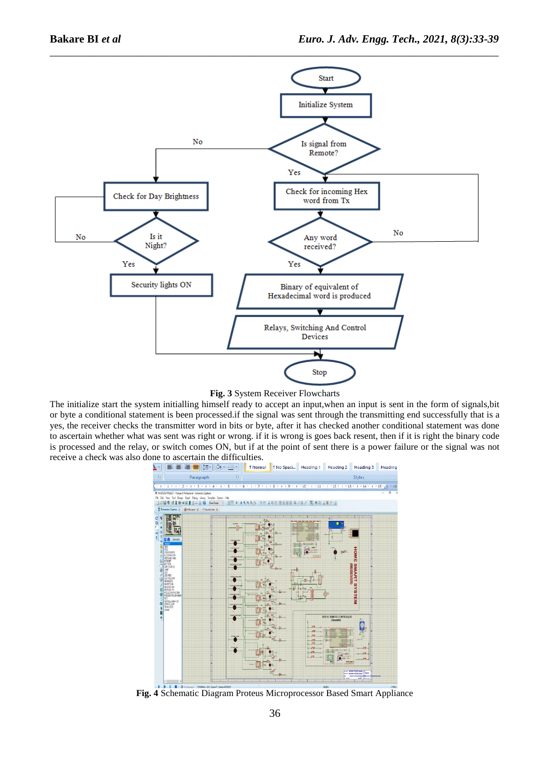

\_\_\_\_\_\_\_\_\_\_\_\_\_\_\_\_\_\_\_\_\_\_\_\_\_\_\_\_\_\_\_\_\_\_\_\_\_\_\_\_\_\_\_\_\_\_\_\_\_\_\_\_\_\_\_\_\_\_\_\_\_\_\_\_\_\_\_\_\_\_\_\_\_\_\_\_\_\_\_\_\_

## **Fig. 3** System Receiver Flowcharts

The initialize start the system initialling himself ready to accept an input,when an input is sent in the form of signals,bit or byte a conditional statement is been processed.if the signal was sent through the transmitting end successfully that is a yes, the receiver checks the transmitter word in bits or byte, after it has checked another conditional statement was done to ascertain whether what was sent was right or wrong. if it is wrong is goes back resent, then if it is right the binary code is processed and the relay, or switch comes ON, but if at the point of sent there is a power failure or the signal was not **receive a check was also done to ascertain the difficulties.**<br> $\frac{1}{2}$   $\frac{1}{2}$   $\frac{1}{2}$   $\frac{1}{2}$   $\frac{1}{2}$   $\frac{1}{2}$   $\frac{1}{2}$   $\frac{1}{2}$   $\frac{1}{2}$   $\frac{1}{2}$   $\frac{1}{2}$   $\frac{1}{2}$   $\frac{1}{2}$   $\frac{1}{2}$   $\frac{1}{2}$   $\frac{1}{2}$ 



**Fig. 4** Schematic Diagram Proteus Microprocessor Based Smart Appliance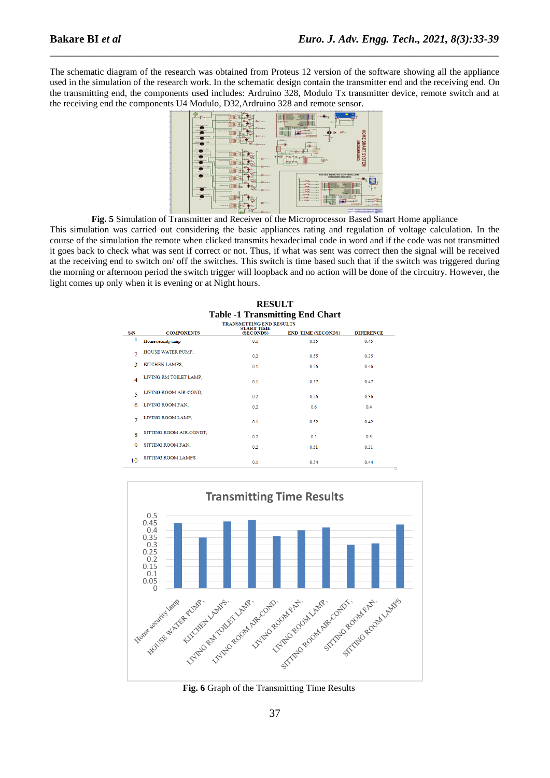The schematic diagram of the research was obtained from Proteus 12 version of the software showing all the appliance used in the simulation of the research work. In the schematic design contain the transmitter end and the receiving end. On the transmitting end, the components used includes: Ardruino 328, Modulo Tx transmitter device, remote switch and at the receiving end the components U4 Modulo, D32,Ardruino 328 and remote sensor.

\_\_\_\_\_\_\_\_\_\_\_\_\_\_\_\_\_\_\_\_\_\_\_\_\_\_\_\_\_\_\_\_\_\_\_\_\_\_\_\_\_\_\_\_\_\_\_\_\_\_\_\_\_\_\_\_\_\_\_\_\_\_\_\_\_\_\_\_\_\_\_\_\_\_\_\_\_\_\_\_\_



**Fig. 5** Simulation of Transmitter and Receiver of the Microprocessor Based Smart Home appliance

This simulation was carried out considering the basic appliances rating and regulation of voltage calculation. In the course of the simulation the remote when clicked transmits hexadecimal code in word and if the code was not transmitted it goes back to check what was sent if correct or not. Thus, if what was sent was correct then the signal will be received at the receiving end to switch on/ off the switches. This switch is time based such that if the switch was triggered during the morning or afternoon period the switch trigger will loopback and no action will be done of the circuitry. However, the light comes up only when it is evening or at Night hours.

|               | <b>Table -1 Transmitting End Chart</b> |                                                                   |                           |                  |  |
|---------------|----------------------------------------|-------------------------------------------------------------------|---------------------------|------------------|--|
| <b>S/N</b>    | <b>COMPONENTS</b>                      | <b>TRANSMITTING END RESULTS</b><br><b>START TIME</b><br>(SECONDS) | <b>END TIME (SECONDS)</b> | <b>DIFERENCE</b> |  |
| 1             | Home security lamp                     | 0.1                                                               | 0.55                      | 0.45             |  |
| $\mathcal{D}$ | HOUSE WATER PUMP,                      | 02                                                                | 0.55                      | 0.35             |  |
| ٩             | KITCHEN LAMPS.                         | 01                                                                | 0.56                      | 0.46             |  |
| 4             | LIVING RM TOILET LAMP.                 | 0.1                                                               | 0.57                      | 0.47             |  |
| 5             | LIVING ROOM AIR-COND.                  | 0.2                                                               | 0.56                      | 0.36             |  |
| 6             | LIVING ROOM FAN.                       | 02                                                                | 0.6                       | 0.4              |  |
|               | LIVING ROOM LAMP,                      | 0.1                                                               | 0.52                      | 0.42             |  |
| 8             | SITTING ROOM AIR-CONDT.                | 0.2                                                               | 0.5                       | 0.3              |  |
| 9             | SITTING ROOM FAN,                      | 0.2                                                               | 0.51                      | 0.31             |  |
| 10            | SITTING ROOM LAMPS                     | 0.1                                                               | 0.54                      | 0.44<br>o        |  |

**RESULT** 



**Fig. 6** Graph of the Transmitting Time Results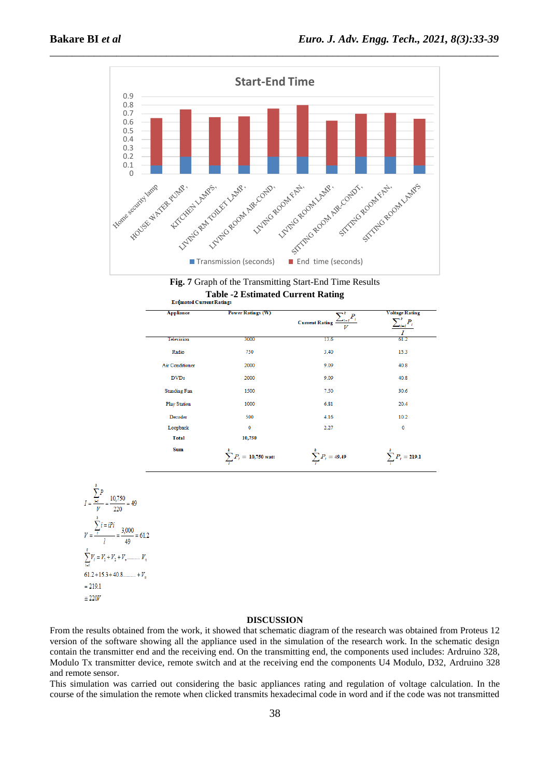



| <b>Appliance</b>       | <b>Power Ratings (W)</b>      | $\sum_{i=i}^{k} P_i$<br><b>Current Rating</b><br>V | <b>Voltage Rating</b><br>$\boldsymbol{P}$<br>1 – 1 |
|------------------------|-------------------------------|----------------------------------------------------|----------------------------------------------------|
| Television             | 3000                          | 13.6                                               | 61.2                                               |
| Radio                  | 750                           | 3.40                                               | 15.3                                               |
| <b>Air Conditioner</b> | 2000                          | 9.09                                               | 40.8                                               |
| <b>DVDs</b>            | 2000                          | 9.09                                               | 40.8                                               |
| <b>Standing Fan</b>    | 1500                          | 7.50                                               | 30.6                                               |
| <b>Play Station</b>    | 1000                          | 6.81                                               | 20.4                                               |
| Decoder                | 500                           | 4.16                                               | 10.2                                               |
| Loopback               | 0                             | 2.27                                               | $\mathbf 0$                                        |
| <b>Total</b>           | 10,750                        |                                                    |                                                    |
| <b>Sum</b>             | $\sum P_i$<br>$= 10,750$ watt | $\sum P_i = 49.49$                                 | $= 219.1$                                          |

$$
I = \frac{\sum_{i=1}^{k} P}{V} = \frac{10,750}{220} = 49
$$
  

$$
V = \frac{\sum_{i=1}^{k} i = iPi}{l} = \frac{3,000}{49} = 61.2
$$
  

$$
\sum_{i=1}^{k} V_i = V_1 + V_2 + V_3 + \dots + V_n
$$
  

$$
= 219.1
$$
  

$$
\approx 220V
$$

### **DISCUSSION**

From the results obtained from the work, it showed that schematic diagram of the research was obtained from Proteus 12 version of the software showing all the appliance used in the simulation of the research work. In the schematic design contain the transmitter end and the receiving end. On the transmitting end, the components used includes: Ardruino 328, Modulo Tx transmitter device, remote switch and at the receiving end the components U4 Modulo, D32, Ardruino 328 and remote sensor.

This simulation was carried out considering the basic appliances rating and regulation of voltage calculation. In the course of the simulation the remote when clicked transmits hexadecimal code in word and if the code was not transmitted